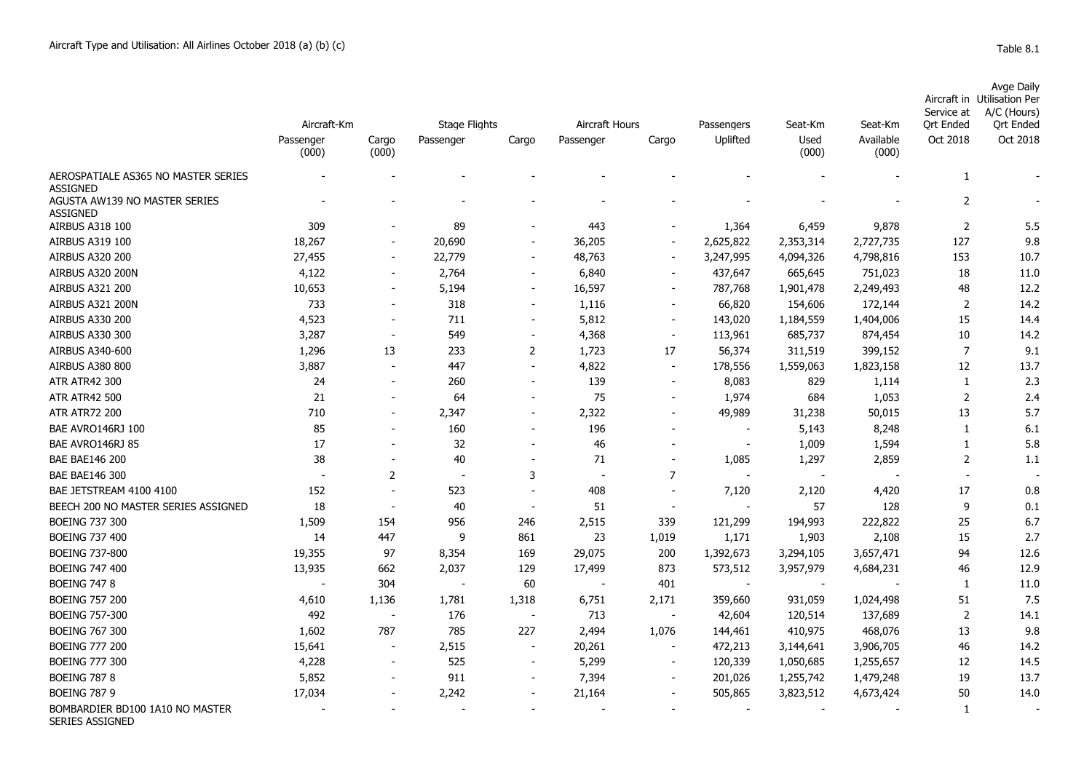|         |                   |            | Avge Daily                  |  |
|---------|-------------------|------------|-----------------------------|--|
|         |                   |            | Aircraft in Utilisation Per |  |
|         |                   | Service at | A/C (Hours)                 |  |
| Seat-Km | Seat-Km           | Ort Ended  | Ort Ended                   |  |
| اسممالا | A - : 1 - 1 - 1 - | െ ഹം       | െ ഹം ഹ                      |  |

|                                                        | Aircraft-Km        |                          | <b>Stage Flights</b> |                          | Aircraft Hours |                          | Passengers               | Seat-Km                  | Seat-Km            | ט יוככ טנ<br><b>Qrt Ended</b> | ,,,,,,,,,,,<br><b>Qrt Ended</b> |
|--------------------------------------------------------|--------------------|--------------------------|----------------------|--------------------------|----------------|--------------------------|--------------------------|--------------------------|--------------------|-------------------------------|---------------------------------|
|                                                        | Passenger<br>(000) | Cargo<br>(000)           | Passenger            | Cargo                    | Passenger      | Cargo                    | Uplifted                 | Used<br>(000)            | Available<br>(000) | Oct 2018                      | Oct 2018                        |
| AEROSPATIALE AS365 NO MASTER SERIES<br><b>ASSIGNED</b> |                    |                          |                      |                          |                |                          |                          |                          |                    | 1                             |                                 |
| AGUSTA AW139 NO MASTER SERIES<br><b>ASSIGNED</b>       |                    |                          |                      |                          |                |                          |                          |                          |                    | 2                             |                                 |
| AIRBUS A318 100                                        | 309                |                          | 89                   |                          | 443            |                          | 1,364                    | 6,459                    | 9,878              | 2                             | 5.5                             |
| AIRBUS A319 100                                        | 18,267             |                          | 20,690               |                          | 36,205         |                          | 2,625,822                | 2,353,314                | 2,727,735          | 127                           | 9.8                             |
| <b>AIRBUS A320 200</b>                                 | 27,455             | $\blacksquare$           | 22,779               | $\sim$                   | 48,763         | $\sim$                   | 3,247,995                | 4,094,326                | 4,798,816          | 153                           | 10.7                            |
| AIRBUS A320 200N                                       | 4,122              |                          | 2,764                | $\overline{\phantom{a}}$ | 6,840          |                          | 437,647                  | 665,645                  | 751,023            | 18                            | 11.0                            |
| <b>AIRBUS A321 200</b>                                 | 10,653             |                          | 5,194                |                          | 16,597         |                          | 787,768                  | 1,901,478                | 2,249,493          | 48                            | 12.2                            |
| AIRBUS A321 200N                                       | 733                |                          | 318                  |                          | 1,116          |                          | 66,820                   | 154,606                  | 172,144            | 2                             | 14.2                            |
| AIRBUS A330 200                                        | 4,523              |                          | 711                  |                          | 5,812          |                          | 143,020                  | 1,184,559                | 1,404,006          | 15                            | 14.4                            |
| AIRBUS A330 300                                        | 3,287              | $\overline{\phantom{a}}$ | 549                  |                          | 4,368          | $\overline{\phantom{a}}$ | 113,961                  | 685,737                  | 874,454            | 10                            | 14.2                            |
| AIRBUS A340-600                                        | 1,296              | 13                       | 233                  | $\overline{2}$           | 1,723          | 17                       | 56,374                   | 311,519                  | 399,152            | $\overline{7}$                | 9.1                             |
| <b>AIRBUS A380 800</b>                                 | 3,887              |                          | 447                  |                          | 4,822          | $\sim$                   | 178,556                  | 1,559,063                | 1,823,158          | 12                            | 13.7                            |
| <b>ATR ATR42 300</b>                                   | 24                 |                          | 260                  |                          | 139            |                          | 8,083                    | 829                      | 1,114              | 1                             | 2.3                             |
| <b>ATR ATR42 500</b>                                   | 21                 |                          | 64                   |                          | 75             |                          | 1,974                    | 684                      | 1,053              | $\overline{2}$                | 2.4                             |
| <b>ATR ATR72 200</b>                                   | 710                | $\overline{\phantom{a}}$ | 2,347                |                          | 2,322          |                          | 49,989                   | 31,238                   | 50,015             | 13                            | 5.7                             |
| BAE AVRO146RJ 100                                      | 85                 |                          | 160                  |                          | 196            |                          | $\overline{\phantom{a}}$ | 5,143                    | 8,248              | $\mathbf{1}$                  | 6.1                             |
| BAE AVRO146RJ 85                                       | 17                 |                          | 32                   |                          | 46             |                          |                          | 1,009                    | 1,594              | $\mathbf{1}$                  | 5.8                             |
| <b>BAE BAE146 200</b>                                  | 38                 |                          | 40                   |                          | 71             |                          | 1,085                    | 1,297                    | 2,859              | 2                             | 1.1                             |
| <b>BAE BAE146 300</b>                                  |                    | 2                        |                      | 3                        |                | $\overline{7}$           |                          |                          |                    | $\sim$                        |                                 |
| BAE JETSTREAM 4100 4100                                | 152                |                          | 523                  |                          | 408            |                          | 7,120                    | 2,120                    | 4,420              | 17                            | 0.8                             |
| BEECH 200 NO MASTER SERIES ASSIGNED                    | 18                 | $\overline{\phantom{a}}$ | 40                   |                          | 51             |                          | $\overline{\phantom{a}}$ | 57                       | 128                | 9                             | 0.1                             |
| <b>BOEING 737 300</b>                                  | 1,509              | 154                      | 956                  | 246                      | 2,515          | 339                      | 121,299                  | 194,993                  | 222,822            | 25                            | 6.7                             |
| <b>BOEING 737 400</b>                                  | 14                 | 447                      | 9                    | 861                      | 23             | 1,019                    | 1,171                    | 1,903                    | 2,108              | 15                            | 2.7                             |
| <b>BOEING 737-800</b>                                  | 19,355             | 97                       | 8,354                | 169                      | 29,075         | 200                      | 1,392,673                | 3,294,105                | 3,657,471          | 94                            | 12.6                            |
| <b>BOEING 747 400</b>                                  | 13,935             | 662                      | 2,037                | 129                      | 17,499         | 873                      | 573,512                  | 3,957,979                | 4,684,231          | 46                            | 12.9                            |
| <b>BOEING 747 8</b>                                    |                    | 304                      |                      | 60                       |                | 401                      |                          | $\overline{\phantom{a}}$ |                    | 1                             | 11.0                            |
| <b>BOEING 757 200</b>                                  | 4,610              | 1,136                    | 1,781                | 1,318                    | 6,751          | 2,171                    | 359,660                  | 931,059                  | 1,024,498          | 51                            | 7.5                             |
| <b>BOEING 757-300</b>                                  | 492                |                          | 176                  |                          | 713            |                          | 42,604                   | 120,514                  | 137,689            | 2                             | 14.1                            |
| <b>BOEING 767 300</b>                                  | 1,602              | 787                      | 785                  | 227                      | 2,494          | 1,076                    | 144,461                  | 410,975                  | 468,076            | 13                            | 9.8                             |
| <b>BOEING 777 200</b>                                  | 15,641             |                          | 2,515                |                          | 20,261         |                          | 472,213                  | 3,144,641                | 3,906,705          | 46                            | 14.2                            |
| <b>BOEING 777 300</b>                                  | 4,228              |                          | 525                  | $\overline{\phantom{a}}$ | 5,299          | $\overline{\phantom{a}}$ | 120,339                  | 1,050,685                | 1,255,657          | 12                            | 14.5                            |
| <b>BOEING 787 8</b>                                    | 5,852              |                          | 911                  |                          | 7,394          |                          | 201,026                  | 1,255,742                | 1,479,248          | 19                            | 13.7                            |
| <b>BOEING 787 9</b>                                    | 17,034             |                          | 2,242                |                          | 21,164         |                          | 505,865                  | 3,823,512                | 4,673,424          | 50                            | 14.0                            |
| BOMBARDIER BD100 1A10 NO MASTER<br>SERIES ASSIGNED     |                    |                          |                      |                          |                |                          |                          |                          |                    | 1                             |                                 |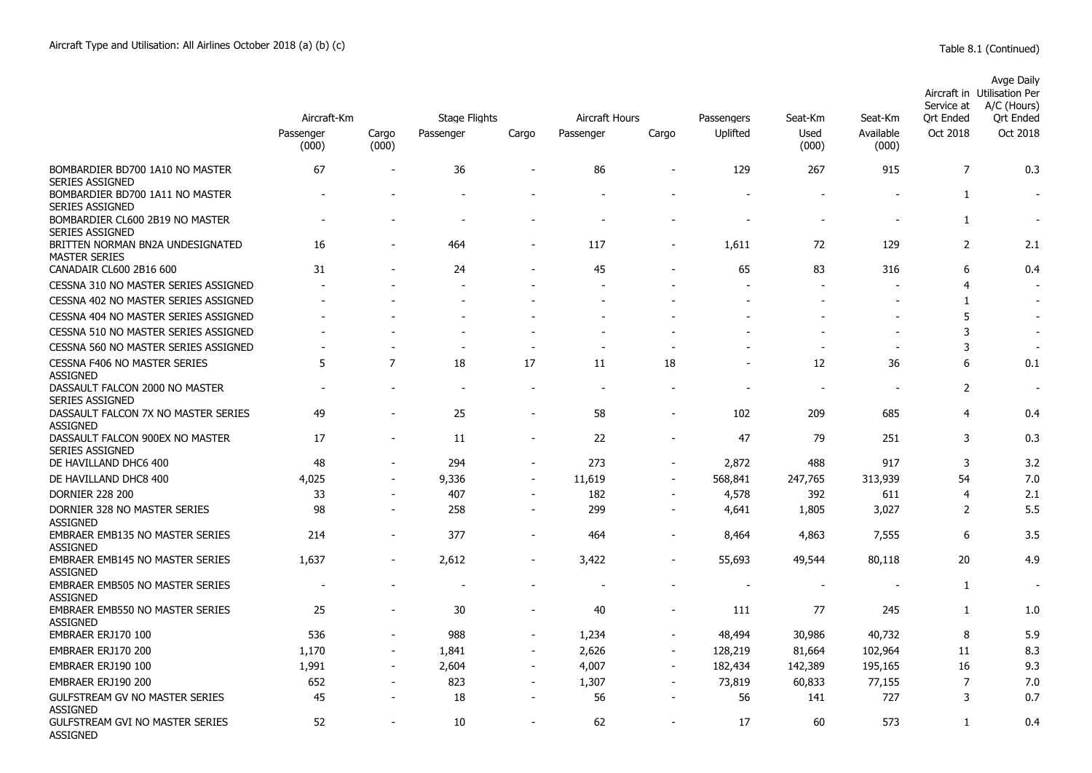|                                                           | Aircraft-Km              |                          | <b>Stage Flights</b>     |                          | Aircraft Hours           |                          | Passengers     | Seat-Km       | Seat-Km                  | Service at<br>Ort Ended | <b>Avge Daily</b><br>Aircraft in Utilisation Per<br>A/C (Hours)<br>Ort Ended |
|-----------------------------------------------------------|--------------------------|--------------------------|--------------------------|--------------------------|--------------------------|--------------------------|----------------|---------------|--------------------------|-------------------------|------------------------------------------------------------------------------|
|                                                           | Passenger<br>(000)       | Cargo<br>(000)           | Passenger                | Cargo                    | Passenger                | Cargo                    | Uplifted       | Used<br>(000) | Available<br>(000)       | Oct 2018                | Oct 2018                                                                     |
| BOMBARDIER BD700 1A10 NO MASTER<br><b>SERIES ASSIGNED</b> | 67                       | $\overline{\phantom{a}}$ | 36                       | $\overline{\phantom{a}}$ | 86                       | $\overline{\phantom{a}}$ | 129            | 267           | 915                      | $\overline{7}$          | 0.3                                                                          |
| BOMBARDIER BD700 1A11 NO MASTER<br><b>SERIES ASSIGNED</b> |                          |                          |                          |                          |                          |                          |                |               |                          | $\mathbf{1}$            | $\overline{\phantom{a}}$                                                     |
| BOMBARDIER CL600 2B19 NO MASTER<br><b>SERIES ASSIGNED</b> |                          |                          |                          |                          |                          |                          |                |               |                          | $\mathbf{1}$            | $\overline{\phantom{a}}$                                                     |
| BRITTEN NORMAN BN2A UNDESIGNATED<br><b>MASTER SERIES</b>  | 16                       |                          | 464                      |                          | 117                      |                          | 1,611          | 72            | 129                      | 2                       | 2.1                                                                          |
| CANADAIR CL600 2B16 600                                   | 31                       |                          | 24                       |                          | 45                       |                          | 65             | 83            | 316                      | 6                       | 0.4                                                                          |
| CESSNA 310 NO MASTER SERIES ASSIGNED                      |                          |                          |                          |                          |                          |                          |                |               |                          | $\overline{4}$          |                                                                              |
| CESSNA 402 NO MASTER SERIES ASSIGNED                      |                          |                          |                          |                          |                          |                          |                |               | ۰                        | 1                       | $\overline{\phantom{a}}$                                                     |
| CESSNA 404 NO MASTER SERIES ASSIGNED                      |                          |                          |                          |                          |                          |                          |                |               |                          | 5                       |                                                                              |
| CESSNA 510 NO MASTER SERIES ASSIGNED                      |                          |                          |                          |                          |                          |                          |                |               |                          | 3                       |                                                                              |
| CESSNA 560 NO MASTER SERIES ASSIGNED                      |                          |                          | $\overline{\phantom{a}}$ | $\overline{\phantom{a}}$ | $\blacksquare$           |                          |                |               | $\overline{\phantom{a}}$ | 3                       |                                                                              |
| <b>CESSNA F406 NO MASTER SERIES</b><br><b>ASSIGNED</b>    | 5                        | 7                        | 18                       | 17                       | 11                       | 18                       |                | 12            | 36                       | 6                       | 0.1                                                                          |
| DASSAULT FALCON 2000 NO MASTER<br><b>SERIES ASSIGNED</b>  |                          |                          | ÷                        | $\overline{a}$           | $\overline{a}$           |                          |                |               |                          | $\overline{2}$          | $\overline{\phantom{a}}$                                                     |
| DASSAULT FALCON 7X NO MASTER SERIES<br><b>ASSIGNED</b>    | 49                       |                          | 25                       | $\overline{a}$           | 58                       |                          | 102            | 209           | 685                      | $\overline{4}$          | 0.4                                                                          |
| DASSAULT FALCON 900EX NO MASTER<br><b>SERIES ASSIGNED</b> | 17                       |                          | 11                       | $\overline{\phantom{a}}$ | 22                       | $\overline{\phantom{a}}$ | 47             | 79            | 251                      | 3                       | 0.3                                                                          |
| DE HAVILLAND DHC6 400                                     | 48                       | ÷                        | 294                      | $\blacksquare$           | 273                      | $\blacksquare$           | 2,872          | 488           | 917                      | 3                       | 3.2                                                                          |
| DE HAVILLAND DHC8 400                                     | 4,025                    | $\blacksquare$           | 9,336                    | $\overline{\phantom{a}}$ | 11,619                   | $\overline{\phantom{a}}$ | 568,841        | 247,765       | 313,939                  | 54                      | 7.0                                                                          |
| <b>DORNIER 228 200</b>                                    | 33                       | $\overline{\phantom{a}}$ | 407                      | $\overline{\phantom{a}}$ | 182                      | $\overline{\phantom{a}}$ | 4,578          | 392           | 611                      | $\overline{4}$          | 2.1                                                                          |
| DORNIER 328 NO MASTER SERIES<br><b>ASSIGNED</b>           | 98                       |                          | 258                      | $\overline{a}$           | 299                      | ÷                        | 4,641          | 1,805         | 3,027                    | 2                       | 5.5                                                                          |
| EMBRAER EMB135 NO MASTER SERIES<br><b>ASSIGNED</b>        | 214                      | $\overline{\phantom{a}}$ | 377                      | $\overline{\phantom{a}}$ | 464                      |                          | 8,464          | 4,863         | 7,555                    | 6                       | 3.5                                                                          |
| <b>EMBRAER EMB145 NO MASTER SERIES</b><br><b>ASSIGNED</b> | 1,637                    | $\overline{\phantom{a}}$ | 2,612                    | $\overline{a}$           | 3,422                    | $\overline{\phantom{a}}$ | 55,693         | 49,544        | 80,118                   | 20                      | 4.9                                                                          |
| <b>EMBRAER EMB505 NO MASTER SERIES</b><br><b>ASSIGNED</b> | $\overline{\phantom{a}}$ |                          |                          |                          | $\overline{\phantom{a}}$ |                          | $\overline{a}$ |               |                          | 1                       | $\overline{\phantom{a}}$                                                     |
| EMBRAER EMB550 NO MASTER SERIES<br><b>ASSIGNED</b>        | 25                       |                          | 30                       | $\overline{a}$           | 40                       |                          | 111            | 77            | 245                      | 1                       | 1.0                                                                          |
| EMBRAER ERJ170 100                                        | 536                      |                          | 988                      | $\overline{a}$           | 1,234                    |                          | 48,494         | 30,986        | 40,732                   | 8                       | 5.9                                                                          |
| EMBRAER ERJ170 200                                        | 1,170                    | $\overline{\phantom{a}}$ | 1,841                    | $\overline{\phantom{a}}$ | 2,626                    | $\blacksquare$           | 128,219        | 81,664        | 102,964                  | 11                      | 8.3                                                                          |
| EMBRAER ERJ190 100                                        | 1,991                    | $\overline{\phantom{a}}$ | 2,604                    | $\blacksquare$           | 4,007                    | $\blacksquare$           | 182,434        | 142,389       | 195,165                  | 16                      | 9.3                                                                          |
| EMBRAER ERJ190 200                                        | 652                      | $\overline{\phantom{a}}$ | 823                      | $\overline{\phantom{a}}$ | 1,307                    | $\blacksquare$           | 73,819         | 60,833        | 77,155                   | 7                       | 7.0                                                                          |
| <b>GULFSTREAM GV NO MASTER SERIES</b><br><b>ASSIGNED</b>  | 45                       |                          | 18                       | $\overline{\phantom{a}}$ | 56                       |                          | 56             | 141           | 727                      | 3                       | 0.7                                                                          |
| <b>GULFSTREAM GVI NO MASTER SERIES</b><br><b>ASSIGNED</b> | 52                       |                          | 10                       |                          | 62                       |                          | 17             | 60            | 573                      | 1                       | 0.4                                                                          |